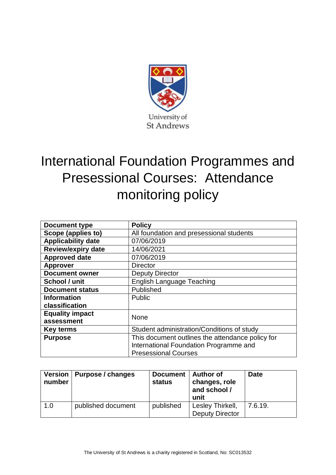

## International Foundation Programmes and Presessional Courses: Attendance monitoring policy

| <b>Document type</b>      | <b>Policy</b>                                    |  |  |  |
|---------------------------|--------------------------------------------------|--|--|--|
| Scope (applies to)        | All foundation and presessional students         |  |  |  |
| <b>Applicability date</b> | 07/06/2019                                       |  |  |  |
| <b>Review/expiry date</b> | 14/06/2021                                       |  |  |  |
| <b>Approved date</b>      | 07/06/2019                                       |  |  |  |
| <b>Approver</b>           | <b>Director</b>                                  |  |  |  |
| <b>Document owner</b>     | <b>Deputy Director</b>                           |  |  |  |
| School / unit             | <b>English Language Teaching</b>                 |  |  |  |
| <b>Document status</b>    | Published                                        |  |  |  |
| <b>Information</b>        | <b>Public</b>                                    |  |  |  |
| classification            |                                                  |  |  |  |
| <b>Equality impact</b>    | None                                             |  |  |  |
| assessment                |                                                  |  |  |  |
| Key terms                 | Student administration/Conditions of study       |  |  |  |
| <b>Purpose</b>            | This document outlines the attendance policy for |  |  |  |
|                           | International Foundation Programme and           |  |  |  |
|                           | <b>Presessional Courses</b>                      |  |  |  |

| number | Version   Purpose / changes | <b>Document</b><br>status | <b>Author of</b><br>changes, role<br>and school /<br>unit | <b>Date</b> |
|--------|-----------------------------|---------------------------|-----------------------------------------------------------|-------------|
| 1.0    | published document          | published                 | Lesley Thirkell,<br><b>Deputy Director</b>                | 7.6.19.     |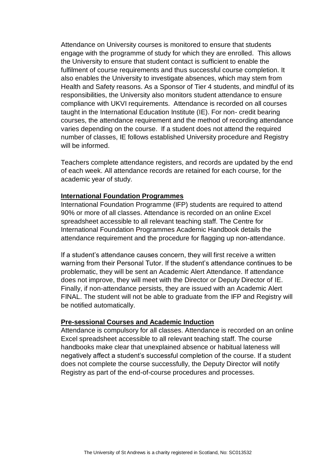Attendance on University courses is monitored to ensure that students engage with the programme of study for which they are enrolled. This allows the University to ensure that student contact is sufficient to enable the fulfilment of course requirements and thus successful course completion. It also enables the University to investigate absences, which may stem from Health and Safety reasons. As a Sponsor of Tier 4 students, and mindful of its responsibilities, the University also monitors student attendance to ensure compliance with UKVI requirements. Attendance is recorded on all courses taught in the International Education Institute (IE). For non- credit bearing courses, the attendance requirement and the method of recording attendance varies depending on the course. If a student does not attend the required number of classes, IE follows established University procedure and Registry will be informed.

Teachers complete attendance registers, and records are updated by the end of each week. All attendance records are retained for each course, for the academic year of study.

## **International Foundation Programmes**

International Foundation Programme (IFP) students are required to attend 90% or more of all classes. Attendance is recorded on an online Excel spreadsheet accessible to all relevant teaching staff. The Centre for International Foundation Programmes Academic Handbook details the attendance requirement and the procedure for flagging up non-attendance.

If a student's attendance causes concern, they will first receive a written warning from their Personal Tutor. If the student's attendance continues to be problematic, they will be sent an Academic Alert Attendance. If attendance does not improve, they will meet with the Director or Deputy Director of IE. Finally, if non-attendance persists, they are issued with an Academic Alert FINAL. The student will not be able to graduate from the IFP and Registry will be notified automatically.

## **Pre-sessional Courses and Academic Induction**

Attendance is compulsory for all classes. Attendance is recorded on an online Excel spreadsheet accessible to all relevant teaching staff. The course handbooks make clear that unexplained absence or habitual lateness will negatively affect a student's successful completion of the course. If a student does not complete the course successfully, the Deputy Director will notify Registry as part of the end-of-course procedures and processes.